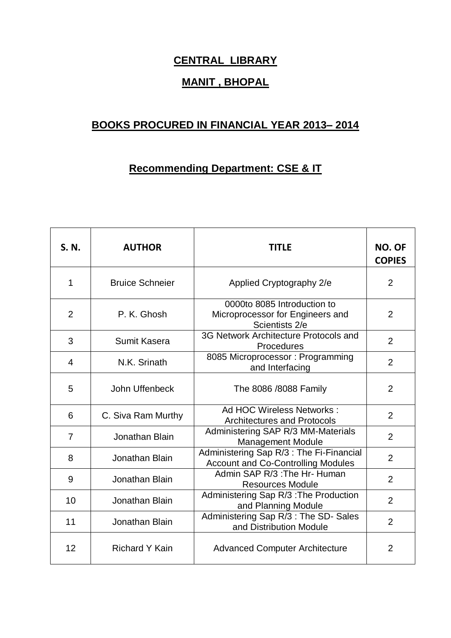## **CENTRAL LIBRARY**

## **MANIT , BHOPAL**

## **BOOKS PROCURED IN FINANCIAL YEAR 2013– 2014**

## **Recommending Department: CSE & IT**

| S. N.          | <b>AUTHOR</b>          | TITLE                                                                                 | NO. OF<br><b>COPIES</b> |
|----------------|------------------------|---------------------------------------------------------------------------------------|-------------------------|
| 1              | <b>Bruice Schneier</b> | Applied Cryptography 2/e                                                              | $\overline{2}$          |
| $\overline{2}$ | P. K. Ghosh            | 0000to 8085 Introduction to<br>Microprocessor for Engineers and<br>Scientists 2/e     | $\overline{2}$          |
| 3              | <b>Sumit Kasera</b>    | 3G Network Architecture Protocols and<br>Procedures                                   | $\overline{2}$          |
| 4              | N.K. Srinath           | 8085 Microprocessor: Programming<br>and Interfacing                                   | $\overline{2}$          |
| 5              | John Uffenbeck         | The 8086 /8088 Family                                                                 | $\overline{2}$          |
| 6              | C. Siva Ram Murthy     | Ad HOC Wireless Networks:<br><b>Architectures and Protocols</b>                       | $\overline{2}$          |
| 7              | Jonathan Blain         | Administering SAP R/3 MM-Materials<br><b>Management Module</b>                        | $\overline{2}$          |
| 8              | Jonathan Blain         | Administering Sap R/3 : The Fi-Financial<br><b>Account and Co-Controlling Modules</b> | $\overline{2}$          |
| 9              | Jonathan Blain         | Admin SAP R/3: The Hr- Human<br><b>Resources Module</b>                               | $\overline{2}$          |
| 10             | Jonathan Blain         | Administering Sap R/3 : The Production<br>and Planning Module                         | 2                       |
| 11             | Jonathan Blain         | Administering Sap R/3 : The SD- Sales<br>and Distribution Module                      | $\overline{2}$          |
| 12             | <b>Richard Y Kain</b>  | <b>Advanced Computer Architecture</b>                                                 | $\overline{2}$          |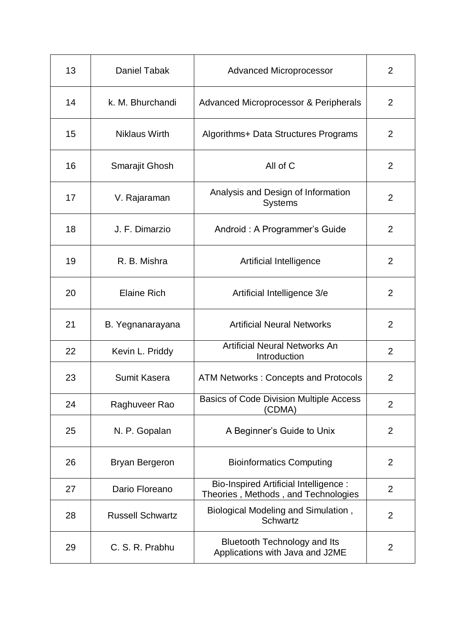| 13 | Daniel Tabak            | <b>Advanced Microprocessor</b>                                                      | 2              |
|----|-------------------------|-------------------------------------------------------------------------------------|----------------|
| 14 | k. M. Bhurchandi        | Advanced Microprocessor & Peripherals                                               | 2              |
| 15 | <b>Niklaus Wirth</b>    | Algorithms+ Data Structures Programs                                                | 2              |
| 16 | Smarajit Ghosh          | All of C                                                                            | 2              |
| 17 | V. Rajaraman            | Analysis and Design of Information<br><b>Systems</b>                                | $\overline{2}$ |
| 18 | J. F. Dimarzio          | Android: A Programmer's Guide                                                       | 2              |
| 19 | R. B. Mishra            | Artificial Intelligence                                                             | 2              |
| 20 | <b>Elaine Rich</b>      | Artificial Intelligence 3/e                                                         | 2              |
| 21 | B. Yegnanarayana        | <b>Artificial Neural Networks</b>                                                   | 2              |
| 22 | Kevin L. Priddy         | <b>Artificial Neural Networks An</b><br>Introduction                                | $\overline{2}$ |
| 23 | Sumit Kasera            | <b>ATM Networks: Concepts and Protocols</b>                                         | 2              |
| 24 | Raghuveer Rao           | <b>Basics of Code Division Multiple Access</b><br>(CDMA)                            | $\overline{2}$ |
| 25 | N. P. Gopalan           | A Beginner's Guide to Unix                                                          | $\overline{2}$ |
| 26 | <b>Bryan Bergeron</b>   | <b>Bioinformatics Computing</b>                                                     | $\overline{2}$ |
| 27 | Dario Floreano          | <b>Bio-Inspired Artificial Intelligence:</b><br>Theories, Methods, and Technologies | $\overline{2}$ |
| 28 | <b>Russell Schwartz</b> | Biological Modeling and Simulation,<br>Schwartz                                     | $\overline{2}$ |
| 29 | C. S. R. Prabhu         | <b>Bluetooth Technology and Its</b><br>Applications with Java and J2ME              | $\overline{2}$ |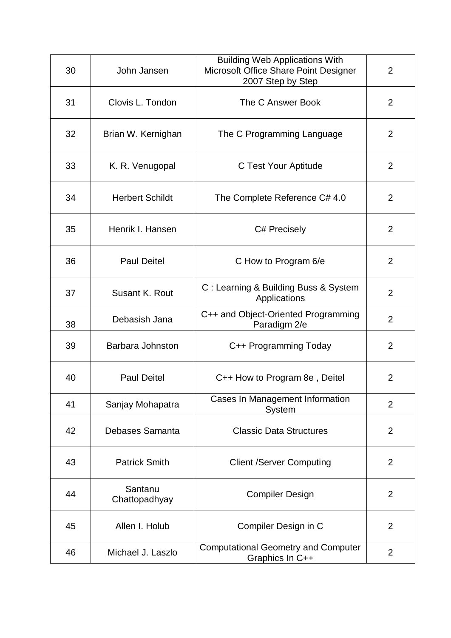| 30 | John Jansen              | <b>Building Web Applications With</b><br>Microsoft Office Share Point Designer<br>2007 Step by Step | 2              |
|----|--------------------------|-----------------------------------------------------------------------------------------------------|----------------|
| 31 | Clovis L. Tondon         | The C Answer Book                                                                                   | $\overline{2}$ |
| 32 | Brian W. Kernighan       | The C Programming Language                                                                          | $\overline{2}$ |
| 33 | K. R. Venugopal          | C Test Your Aptitude                                                                                | 2              |
| 34 | <b>Herbert Schildt</b>   | The Complete Reference C# 4.0                                                                       | $\overline{2}$ |
| 35 | Henrik I. Hansen         | C# Precisely                                                                                        | 2              |
| 36 | <b>Paul Deitel</b>       | C How to Program 6/e                                                                                | 2              |
| 37 | Susant K. Rout           | C: Learning & Building Buss & System<br>Applications                                                | 2              |
| 38 | Debasish Jana            | C++ and Object-Oriented Programming<br>Paradigm 2/e                                                 | $\overline{2}$ |
| 39 | Barbara Johnston         | C++ Programming Today                                                                               | $\overline{2}$ |
| 40 | <b>Paul Deitel</b>       | C++ How to Program 8e, Deitel                                                                       | $\overline{2}$ |
| 41 | Sanjay Mohapatra         | Cases In Management Information<br>System                                                           | $\overline{2}$ |
| 42 | Debases Samanta          | <b>Classic Data Structures</b>                                                                      | $\overline{2}$ |
| 43 | <b>Patrick Smith</b>     | <b>Client /Server Computing</b>                                                                     | $\overline{2}$ |
| 44 | Santanu<br>Chattopadhyay | <b>Compiler Design</b>                                                                              | $\overline{2}$ |
| 45 | Allen I. Holub           | Compiler Design in C                                                                                | $\overline{2}$ |
| 46 | Michael J. Laszlo        | <b>Computational Geometry and Computer</b><br>Graphics In C++                                       | $\overline{2}$ |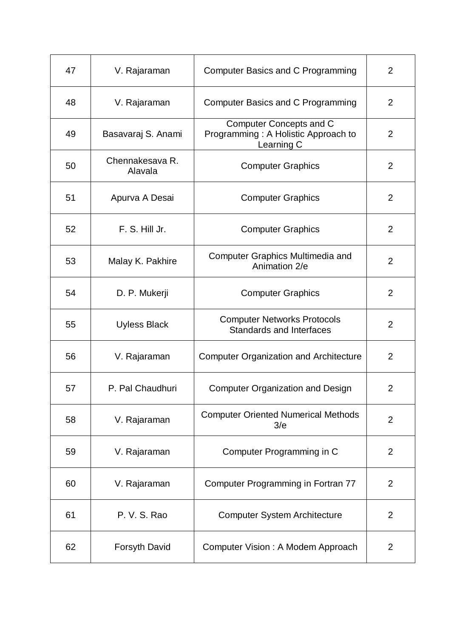| 47 | V. Rajaraman               | Computer Basics and C Programming                                            | $\overline{2}$ |
|----|----------------------------|------------------------------------------------------------------------------|----------------|
| 48 | V. Rajaraman               | Computer Basics and C Programming                                            | $\overline{2}$ |
| 49 | Basavaraj S. Anami         | Computer Concepts and C<br>Programming: A Holistic Approach to<br>Learning C | 2              |
| 50 | Chennakesava R.<br>Alavala | <b>Computer Graphics</b>                                                     | 2              |
| 51 | Apurva A Desai             | <b>Computer Graphics</b>                                                     | $\overline{2}$ |
| 52 | F. S. Hill Jr.             | <b>Computer Graphics</b>                                                     | 2              |
| 53 | Malay K. Pakhire           | <b>Computer Graphics Multimedia and</b><br>Animation 2/e                     | $\overline{2}$ |
| 54 | D. P. Mukerji              | <b>Computer Graphics</b>                                                     | $\overline{2}$ |
| 55 | <b>Uyless Black</b>        | <b>Computer Networks Protocols</b><br><b>Standards and Interfaces</b>        | $\overline{2}$ |
| 56 | V. Rajaraman               | <b>Computer Organization and Architecture</b>                                | $\overline{2}$ |
| 57 | P. Pal Chaudhuri           | <b>Computer Organization and Design</b>                                      | $\overline{2}$ |
| 58 | V. Rajaraman               | <b>Computer Oriented Numerical Methods</b><br>3/e                            | $\overline{2}$ |
| 59 | V. Rajaraman               | Computer Programming in C                                                    | $\overline{2}$ |
| 60 | V. Rajaraman               | Computer Programming in Fortran 77                                           | $\overline{2}$ |
| 61 | P. V. S. Rao               | <b>Computer System Architecture</b>                                          | $\overline{2}$ |
| 62 | Forsyth David              | Computer Vision: A Modem Approach                                            | $\overline{2}$ |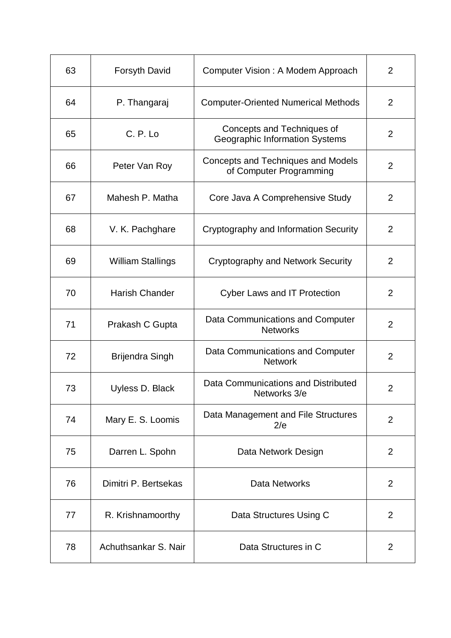| 63 | <b>Forsyth David</b>  | Computer Vision: A Modem Approach                                   | $\overline{2}$ |
|----|-----------------------|---------------------------------------------------------------------|----------------|
| 64 | P. Thangaraj          | <b>Computer-Oriented Numerical Methods</b>                          | $\overline{2}$ |
| 65 | C. P. Lo              | Concepts and Techniques of<br><b>Geographic Information Systems</b> | $\overline{2}$ |
| 66 | Peter Van Roy         | Concepts and Techniques and Models<br>of Computer Programming       | $\overline{2}$ |
| 67 | Mahesh P. Matha       | Core Java A Comprehensive Study                                     | 2              |
| 68 | V. K. Pachghare       | Cryptography and Information Security                               | 2              |
| 69 | William Stallings     | Cryptography and Network Security                                   | $\overline{2}$ |
| 70 | <b>Harish Chander</b> | <b>Cyber Laws and IT Protection</b>                                 | 2              |
| 71 | Prakash C Gupta       | Data Communications and Computer<br><b>Networks</b>                 | $\overline{2}$ |
| 72 | Brijendra Singh       | Data Communications and Computer<br><b>Network</b>                  | 2              |
| 73 | Uyless D. Black       | Data Communications and Distributed<br>Networks 3/e                 | $\overline{2}$ |
| 74 | Mary E. S. Loomis     | Data Management and File Structures<br>2/e                          | 2              |
| 75 | Darren L. Spohn       | Data Network Design                                                 | 2              |
| 76 | Dimitri P. Bertsekas  | Data Networks                                                       | 2              |
| 77 | R. Krishnamoorthy     | Data Structures Using C                                             | $\overline{2}$ |
| 78 | Achuthsankar S. Nair  | Data Structures in C                                                | $\overline{2}$ |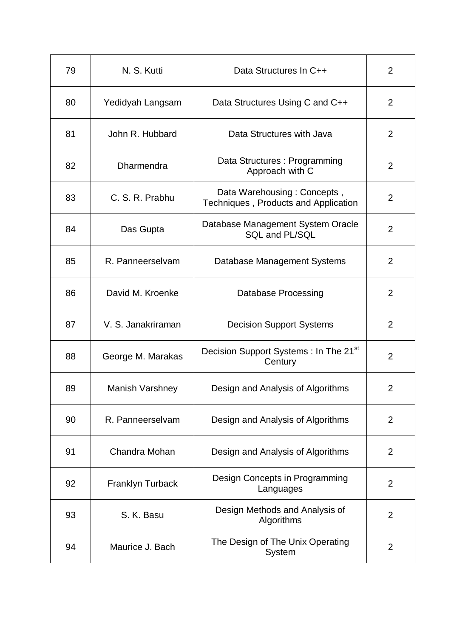| 79 | N. S. Kutti             | Data Structures In C++                                              | $\overline{2}$ |
|----|-------------------------|---------------------------------------------------------------------|----------------|
| 80 | Yedidyah Langsam        | Data Structures Using C and C++                                     | $\overline{2}$ |
| 81 | John R. Hubbard         | Data Structures with Java                                           | 2              |
| 82 | <b>Dharmendra</b>       | Data Structures : Programming<br>Approach with C                    | $\overline{2}$ |
| 83 | C. S. R. Prabhu         | Data Warehousing: Concepts,<br>Techniques, Products and Application | $\overline{2}$ |
| 84 | Das Gupta               | Database Management System Oracle<br>SQL and PL/SQL                 | $\overline{2}$ |
| 85 | R. Panneerselvam        | Database Management Systems                                         | $\overline{2}$ |
| 86 | David M. Kroenke        | <b>Database Processing</b>                                          | $\overline{2}$ |
| 87 | V. S. Janakriraman      | <b>Decision Support Systems</b>                                     | $\overline{2}$ |
| 88 | George M. Marakas       | Decision Support Systems: In The 21 <sup>st</sup><br>Century        | $\overline{2}$ |
| 89 | <b>Manish Varshney</b>  | Design and Analysis of Algorithms                                   | $\overline{2}$ |
| 90 | R. Panneerselvam        | Design and Analysis of Algorithms                                   | $\overline{2}$ |
| 91 | Chandra Mohan           | Design and Analysis of Algorithms                                   | 2              |
| 92 | <b>Franklyn Turback</b> | Design Concepts in Programming<br>Languages                         | 2              |
| 93 | S. K. Basu              | Design Methods and Analysis of<br>Algorithms                        | $\overline{2}$ |
| 94 | Maurice J. Bach         | The Design of The Unix Operating<br>System                          | 2              |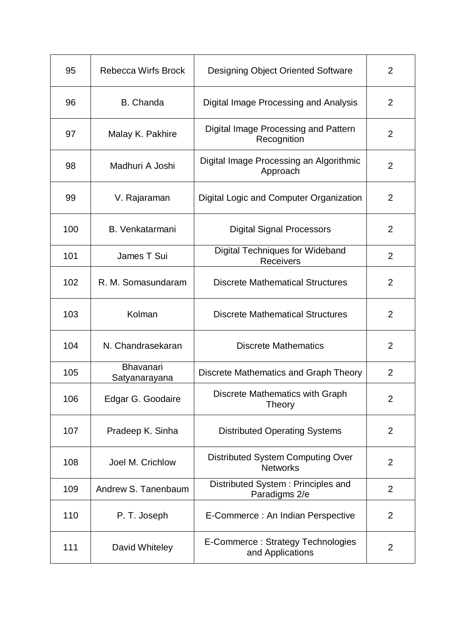| 95  | <b>Rebecca Wirfs Brock</b>        | <b>Designing Object Oriented Software</b>                  | $\overline{2}$ |
|-----|-----------------------------------|------------------------------------------------------------|----------------|
| 96  | <b>B.</b> Chanda                  | Digital Image Processing and Analysis                      | $\overline{2}$ |
| 97  | Malay K. Pakhire                  | Digital Image Processing and Pattern<br>Recognition        | $\overline{2}$ |
| 98  | Madhuri A Joshi                   | Digital Image Processing an Algorithmic<br>Approach        | 2              |
| 99  | V. Rajaraman                      | Digital Logic and Computer Organization                    | $\overline{2}$ |
| 100 | B. Venkatarmani                   | <b>Digital Signal Processors</b>                           | $\overline{2}$ |
| 101 | James T Sui                       | <b>Digital Techniques for Wideband</b><br><b>Receivers</b> | $\overline{2}$ |
| 102 | R. M. Somasundaram                | <b>Discrete Mathematical Structures</b>                    | 2              |
| 103 | Kolman                            | <b>Discrete Mathematical Structures</b>                    | $\overline{2}$ |
| 104 | N. Chandrasekaran                 | <b>Discrete Mathematics</b>                                | 2              |
| 105 | <b>Bhavanari</b><br>Satyanarayana | Discrete Mathematics and Graph Theory                      | $\overline{2}$ |
| 106 | Edgar G. Goodaire                 | Discrete Mathematics with Graph<br><b>Theory</b>           | $\overline{2}$ |
| 107 | Pradeep K. Sinha                  | <b>Distributed Operating Systems</b>                       | 2              |
| 108 | Joel M. Crichlow                  | Distributed System Computing Over<br><b>Networks</b>       | $\overline{2}$ |
| 109 | Andrew S. Tanenbaum               | Distributed System: Principles and<br>Paradigms 2/e        | $\overline{2}$ |
| 110 | P. T. Joseph                      | E-Commerce : An Indian Perspective                         | $\overline{2}$ |
| 111 | David Whiteley                    | E-Commerce: Strategy Technologies<br>and Applications      | $\overline{2}$ |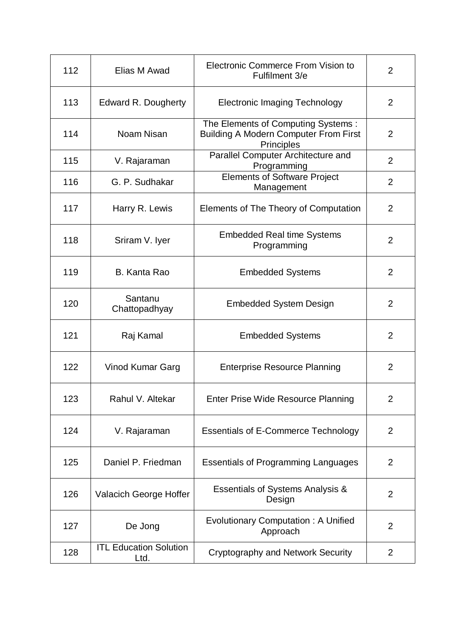| 112 | Elias M Awad                          | Electronic Commerce From Vision to<br>Fulfilment 3/e                                             | $\overline{2}$ |
|-----|---------------------------------------|--------------------------------------------------------------------------------------------------|----------------|
| 113 | Edward R. Dougherty                   | Electronic Imaging Technology                                                                    | 2              |
| 114 | Noam Nisan                            | The Elements of Computing Systems:<br><b>Building A Modern Computer From First</b><br>Principles | 2              |
| 115 | V. Rajaraman                          | Parallel Computer Architecture and<br>Programming                                                | $\overline{2}$ |
| 116 | G. P. Sudhakar                        | <b>Elements of Software Project</b><br>Management                                                | $\overline{2}$ |
| 117 | Harry R. Lewis                        | Elements of The Theory of Computation                                                            | 2              |
| 118 | Sriram V. Iyer                        | <b>Embedded Real time Systems</b><br>Programming                                                 | $\overline{2}$ |
| 119 | B. Kanta Rao                          | <b>Embedded Systems</b>                                                                          | $\overline{2}$ |
| 120 | Santanu<br>Chattopadhyay              | <b>Embedded System Design</b>                                                                    | 2              |
| 121 | Raj Kamal                             | <b>Embedded Systems</b>                                                                          | 2              |
| 122 | Vinod Kumar Garg                      | <b>Enterprise Resource Planning</b>                                                              | 2              |
| 123 | Rahul V. Altekar                      | Enter Prise Wide Resource Planning                                                               | $\overline{2}$ |
| 124 | V. Rajaraman                          | <b>Essentials of E-Commerce Technology</b>                                                       | 2              |
| 125 | Daniel P. Friedman                    | <b>Essentials of Programming Languages</b>                                                       | $\overline{2}$ |
| 126 | Valacich George Hoffer                | Essentials of Systems Analysis &<br>Design                                                       | $\overline{2}$ |
| 127 | De Jong                               | Evolutionary Computation: A Unified<br>Approach                                                  | $\overline{2}$ |
| 128 | <b>ITL Education Solution</b><br>Ltd. | <b>Cryptography and Network Security</b>                                                         | $\overline{2}$ |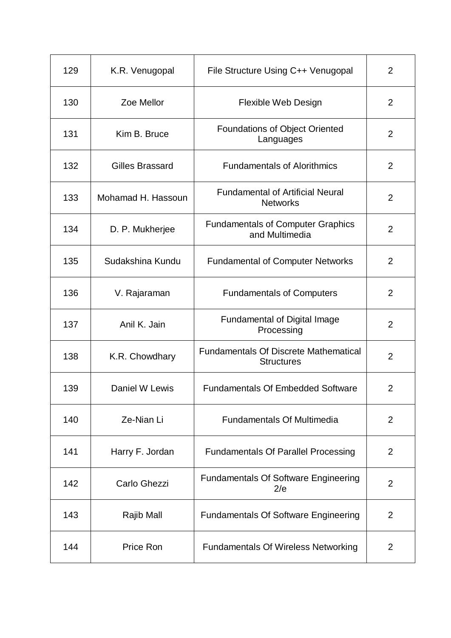| 129 | K.R. Venugopal         | File Structure Using C++ Venugopal                                | $\overline{2}$ |
|-----|------------------------|-------------------------------------------------------------------|----------------|
| 130 | Zoe Mellor             | Flexible Web Design                                               | $\overline{2}$ |
| 131 | Kim B. Bruce           | Foundations of Object Oriented<br>Languages                       | $\overline{2}$ |
| 132 | <b>Gilles Brassard</b> | <b>Fundamentals of Alorithmics</b>                                | 2              |
| 133 | Mohamad H. Hassoun     | <b>Fundamental of Artificial Neural</b><br><b>Networks</b>        | $\overline{2}$ |
| 134 | D. P. Mukherjee        | <b>Fundamentals of Computer Graphics</b><br>and Multimedia        | 2              |
| 135 | Sudakshina Kundu       | <b>Fundamental of Computer Networks</b>                           | $\overline{2}$ |
| 136 | V. Rajaraman           | <b>Fundamentals of Computers</b>                                  | 2              |
| 137 | Anil K. Jain           | <b>Fundamental of Digital Image</b><br>Processing                 | $\overline{2}$ |
| 138 | K.R. Chowdhary         | <b>Fundamentals Of Discrete Mathematical</b><br><b>Structures</b> | $\overline{2}$ |
| 139 | Daniel W Lewis         | <b>Fundamentals Of Embedded Software</b>                          | $\overline{2}$ |
| 140 | Ze-Nian Li             | <b>Fundamentals Of Multimedia</b>                                 | 2              |
| 141 | Harry F. Jordan        | <b>Fundamentals Of Parallel Processing</b>                        | 2              |
| 142 | Carlo Ghezzi           | <b>Fundamentals Of Software Engineering</b><br>2/e                | $\overline{2}$ |
| 143 | Rajib Mall             | <b>Fundamentals Of Software Engineering</b>                       | 2              |
| 144 | Price Ron              | <b>Fundamentals Of Wireless Networking</b>                        | $\overline{2}$ |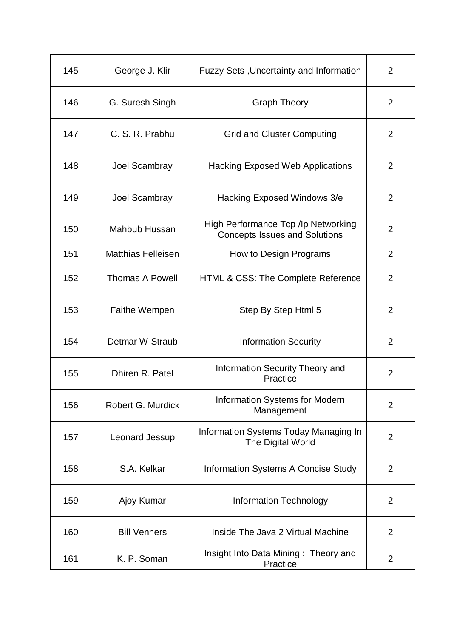| 145 | George J. Klir            | <b>Fuzzy Sets, Uncertainty and Information</b>                              | $\overline{2}$ |
|-----|---------------------------|-----------------------------------------------------------------------------|----------------|
| 146 | G. Suresh Singh           | <b>Graph Theory</b>                                                         | $\overline{2}$ |
| 147 | C. S. R. Prabhu           | <b>Grid and Cluster Computing</b>                                           | $\overline{2}$ |
| 148 | Joel Scambray             | Hacking Exposed Web Applications                                            | 2              |
| 149 | Joel Scambray             | Hacking Exposed Windows 3/e                                                 | $\overline{2}$ |
| 150 | <b>Mahbub Hussan</b>      | High Performance Tcp /lp Networking<br><b>Concepts Issues and Solutions</b> | $\overline{2}$ |
| 151 | <b>Matthias Felleisen</b> | How to Design Programs                                                      | $\overline{2}$ |
| 152 | <b>Thomas A Powell</b>    | HTML & CSS: The Complete Reference                                          | 2              |
| 153 | <b>Faithe Wempen</b>      | Step By Step Html 5                                                         | $\overline{2}$ |
| 154 | Detmar W Straub           | <b>Information Security</b>                                                 | 2              |
| 155 | Dhiren R. Patel           | <b>Information Security Theory and</b><br>Practice                          | $\overline{2}$ |
| 156 | Robert G. Murdick         | <b>Information Systems for Modern</b><br>Management                         | $\overline{2}$ |
| 157 | Leonard Jessup            | Information Systems Today Managing In<br>The Digital World                  | $\overline{2}$ |
| 158 | S.A. Kelkar               | Information Systems A Concise Study                                         | 2              |
| 159 | Ajoy Kumar                | <b>Information Technology</b>                                               | 2              |
| 160 | <b>Bill Venners</b>       | Inside The Java 2 Virtual Machine                                           | 2              |
| 161 | K. P. Soman               | Insight Into Data Mining: Theory and<br>Practice                            | $\overline{2}$ |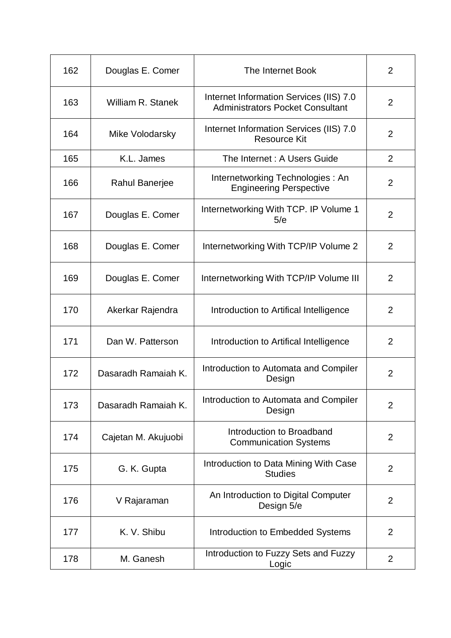| 162 | Douglas E. Comer    | The Internet Book                                                                  | $\overline{2}$ |
|-----|---------------------|------------------------------------------------------------------------------------|----------------|
| 163 | William R. Stanek   | Internet Information Services (IIS) 7.0<br><b>Administrators Pocket Consultant</b> | $\overline{2}$ |
| 164 | Mike Volodarsky     | Internet Information Services (IIS) 7.0<br><b>Resource Kit</b>                     | $\overline{2}$ |
| 165 | K.L. James          | The Internet : A Users Guide                                                       | $\overline{2}$ |
| 166 | Rahul Banerjee      | Internetworking Technologies: An<br><b>Engineering Perspective</b>                 | $\overline{2}$ |
| 167 | Douglas E. Comer    | Internetworking With TCP. IP Volume 1<br>5/e                                       | 2              |
| 168 | Douglas E. Comer    | Internetworking With TCP/IP Volume 2                                               | $\overline{2}$ |
| 169 | Douglas E. Comer    | Internetworking With TCP/IP Volume III                                             | $\overline{2}$ |
| 170 | Akerkar Rajendra    | Introduction to Artifical Intelligence                                             | $\overline{2}$ |
| 171 | Dan W. Patterson    | Introduction to Artifical Intelligence                                             | $\overline{2}$ |
| 172 | Dasaradh Ramaiah K. | Introduction to Automata and Compiler<br>Design                                    | $\overline{2}$ |
| 173 | Dasaradh Ramaiah K. | Introduction to Automata and Compiler<br>Design                                    | $\overline{2}$ |
| 174 | Cajetan M. Akujuobi | Introduction to Broadband<br><b>Communication Systems</b>                          | 2              |
| 175 | G. K. Gupta         | Introduction to Data Mining With Case<br><b>Studies</b>                            | $\overline{2}$ |
| 176 | V Rajaraman         | An Introduction to Digital Computer<br>Design 5/e                                  | $\overline{2}$ |
| 177 | K. V. Shibu         | Introduction to Embedded Systems                                                   | $\overline{2}$ |
| 178 | M. Ganesh           | Introduction to Fuzzy Sets and Fuzzy<br>Logic                                      | $\overline{2}$ |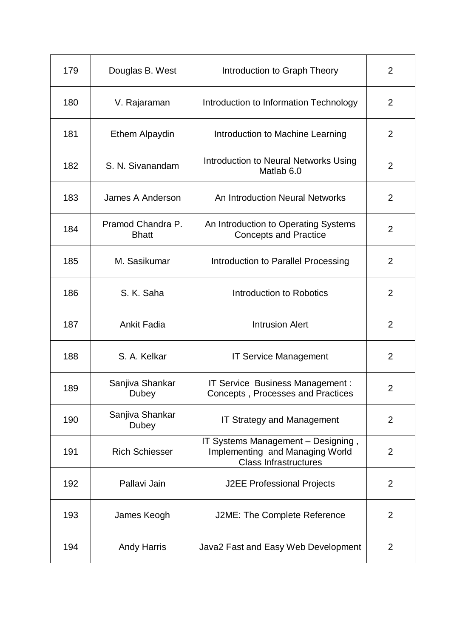| 179 | Douglas B. West                   | Introduction to Graph Theory                                                                          | $\overline{2}$ |
|-----|-----------------------------------|-------------------------------------------------------------------------------------------------------|----------------|
| 180 | V. Rajaraman                      | Introduction to Information Technology                                                                | $\overline{2}$ |
| 181 | Ethem Alpaydin                    | Introduction to Machine Learning                                                                      | 2              |
| 182 | S. N. Sivanandam                  | Introduction to Neural Networks Using<br>Matlab 6.0                                                   | 2              |
| 183 | James A Anderson                  | An Introduction Neural Networks                                                                       | $\overline{2}$ |
| 184 | Pramod Chandra P.<br><b>Bhatt</b> | An Introduction to Operating Systems<br><b>Concepts and Practice</b>                                  | 2              |
| 185 | M. Sasikumar                      | Introduction to Parallel Processing                                                                   | $\overline{2}$ |
| 186 | S. K. Saha                        | Introduction to Robotics                                                                              | 2              |
| 187 | <b>Ankit Fadia</b>                | <b>Intrusion Alert</b>                                                                                | $\overline{2}$ |
| 188 | S. A. Kelkar                      | <b>IT Service Management</b>                                                                          | $\overline{2}$ |
| 189 | Sanjiva Shankar<br>Dubey          | IT Service Business Management :<br>Concepts, Processes and Practices                                 | $\overline{2}$ |
| 190 | Sanjiva Shankar<br>Dubey          | IT Strategy and Management                                                                            | 2              |
| 191 | <b>Rich Schiesser</b>             | IT Systems Management - Designing,<br>Implementing and Managing World<br><b>Class Infrastructures</b> | $\overline{2}$ |
| 192 | Pallavi Jain                      | <b>J2EE Professional Projects</b>                                                                     | 2              |
| 193 | James Keogh                       | J2ME: The Complete Reference                                                                          | 2              |
| 194 | <b>Andy Harris</b>                | Java2 Fast and Easy Web Development                                                                   | $\overline{2}$ |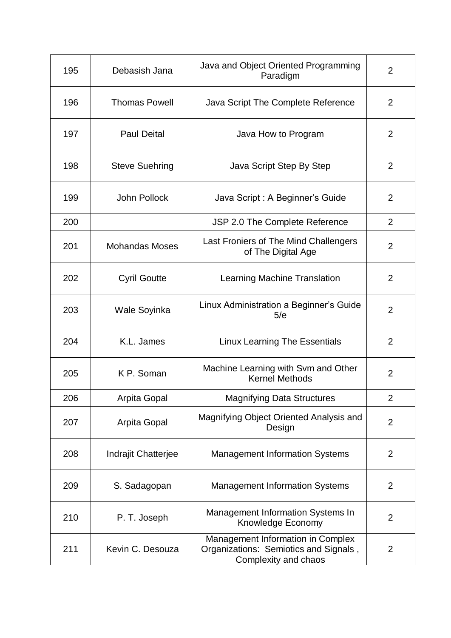| 195 | Debasish Jana              | Java and Object Oriented Programming<br>Paradigm                                                   | $\overline{2}$ |
|-----|----------------------------|----------------------------------------------------------------------------------------------------|----------------|
| 196 | <b>Thomas Powell</b>       | Java Script The Complete Reference                                                                 | $\overline{2}$ |
| 197 | <b>Paul Deital</b>         | Java How to Program                                                                                | $\overline{2}$ |
| 198 | <b>Steve Suehring</b>      | Java Script Step By Step                                                                           | 2              |
| 199 | John Pollock               | Java Script : A Beginner's Guide                                                                   | $\overline{2}$ |
| 200 |                            | JSP 2.0 The Complete Reference                                                                     | 2              |
| 201 | <b>Mohandas Moses</b>      | Last Froniers of The Mind Challengers<br>of The Digital Age                                        | $\overline{2}$ |
| 202 | <b>Cyril Goutte</b>        | Learning Machine Translation                                                                       | $\overline{2}$ |
| 203 | Wale Soyinka               | Linux Administration a Beginner's Guide<br>5/e                                                     | 2              |
| 204 | K.L. James                 | <b>Linux Learning The Essentials</b>                                                               | 2              |
| 205 | K P. Soman                 | Machine Learning with Svm and Other<br><b>Kernel Methods</b>                                       | 2              |
| 206 | Arpita Gopal               | <b>Magnifying Data Structures</b>                                                                  | 2              |
| 207 | <b>Arpita Gopal</b>        | Magnifying Object Oriented Analysis and<br>Design                                                  | $\overline{2}$ |
| 208 | <b>Indrajit Chatterjee</b> | <b>Management Information Systems</b>                                                              | $\overline{2}$ |
| 209 | S. Sadagopan               | <b>Management Information Systems</b>                                                              | $\overline{2}$ |
| 210 | P. T. Joseph               | Management Information Systems In<br>Knowledge Economy                                             | 2              |
| 211 | Kevin C. Desouza           | Management Information in Complex<br>Organizations: Semiotics and Signals,<br>Complexity and chaos | $\overline{2}$ |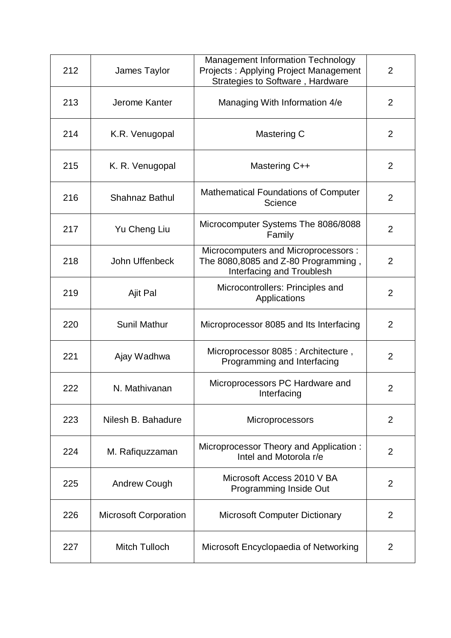| 212 | James Taylor                 | Management Information Technology<br>Projects: Applying Project Management<br>Strategies to Software, Hardware  | $\overline{2}$ |
|-----|------------------------------|-----------------------------------------------------------------------------------------------------------------|----------------|
| 213 | Jerome Kanter                | Managing With Information 4/e                                                                                   | 2              |
| 214 | K.R. Venugopal               | Mastering C                                                                                                     | $\overline{2}$ |
| 215 | K. R. Venugopal              | Mastering C++                                                                                                   | $\overline{2}$ |
| 216 | <b>Shahnaz Bathul</b>        | <b>Mathematical Foundations of Computer</b><br>Science                                                          | $\overline{2}$ |
| 217 | Yu Cheng Liu                 | Microcomputer Systems The 8086/8088<br>Family                                                                   | $\overline{2}$ |
| 218 | John Uffenbeck               | Microcomputers and Microprocessors :<br>The 8080,8085 and Z-80 Programming,<br><b>Interfacing and Troublesh</b> | $\overline{2}$ |
| 219 | Ajit Pal                     | Microcontrollers: Principles and<br>Applications                                                                | 2              |
| 220 | <b>Sunil Mathur</b>          | Microprocessor 8085 and Its Interfacing                                                                         | $\overline{2}$ |
| 221 | Ajay Wadhwa                  | Microprocessor 8085 : Architecture,<br>Programming and Interfacing                                              | $\overline{2}$ |
| 222 | N. Mathivanan                | Microprocessors PC Hardware and<br>Interfacing                                                                  | $\overline{2}$ |
| 223 | Nilesh B. Bahadure           | <b>Microprocessors</b>                                                                                          | $\overline{2}$ |
| 224 | M. Rafiquzzaman              | Microprocessor Theory and Application:<br>Intel and Motorola r/e                                                | $\overline{2}$ |
| 225 | <b>Andrew Cough</b>          | Microsoft Access 2010 V BA<br>Programming Inside Out                                                            | $\overline{2}$ |
| 226 | <b>Microsoft Corporation</b> | <b>Microsoft Computer Dictionary</b>                                                                            | 2              |
| 227 | Mitch Tulloch                | Microsoft Encyclopaedia of Networking                                                                           | $\overline{2}$ |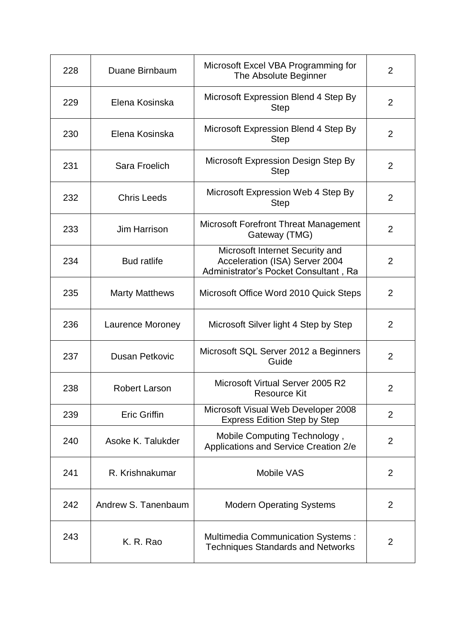| 228 | Duane Birnbaum        | Microsoft Excel VBA Programming for<br>The Absolute Beginner                                               | 2              |
|-----|-----------------------|------------------------------------------------------------------------------------------------------------|----------------|
| 229 | Elena Kosinska        | Microsoft Expression Blend 4 Step By<br><b>Step</b>                                                        | $\overline{2}$ |
| 230 | Elena Kosinska        | Microsoft Expression Blend 4 Step By<br><b>Step</b>                                                        | 2              |
| 231 | Sara Froelich         | Microsoft Expression Design Step By<br><b>Step</b>                                                         | 2              |
| 232 | <b>Chris Leeds</b>    | Microsoft Expression Web 4 Step By<br><b>Step</b>                                                          | $\overline{2}$ |
| 233 | <b>Jim Harrison</b>   | Microsoft Forefront Threat Management<br>Gateway (TMG)                                                     | $\overline{2}$ |
| 234 | <b>Bud ratlife</b>    | Microsoft Internet Security and<br>Acceleration (ISA) Server 2004<br>Administrator's Pocket Consultant, Ra | 2              |
| 235 | <b>Marty Matthews</b> | Microsoft Office Word 2010 Quick Steps                                                                     | 2              |
| 236 | Laurence Moroney      | Microsoft Silver light 4 Step by Step                                                                      | 2              |
| 237 | <b>Dusan Petkovic</b> | Microsoft SQL Server 2012 a Beginners<br>Guide                                                             | $\overline{2}$ |
| 238 | <b>Robert Larson</b>  | Microsoft Virtual Server 2005 R2<br>Resource Kit                                                           | $\overline{2}$ |
| 239 | <b>Eric Griffin</b>   | Microsoft Visual Web Developer 2008<br><b>Express Edition Step by Step</b>                                 | $\overline{2}$ |
| 240 | Asoke K. Talukder     | Mobile Computing Technology,<br>Applications and Service Creation 2/e                                      | $\overline{2}$ |
| 241 | R. Krishnakumar       | <b>Mobile VAS</b>                                                                                          | $\overline{2}$ |
| 242 | Andrew S. Tanenbaum   | <b>Modern Operating Systems</b>                                                                            | $\overline{2}$ |
| 243 | K. R. Rao             | <b>Multimedia Communication Systems:</b><br><b>Techniques Standards and Networks</b>                       | $\overline{2}$ |